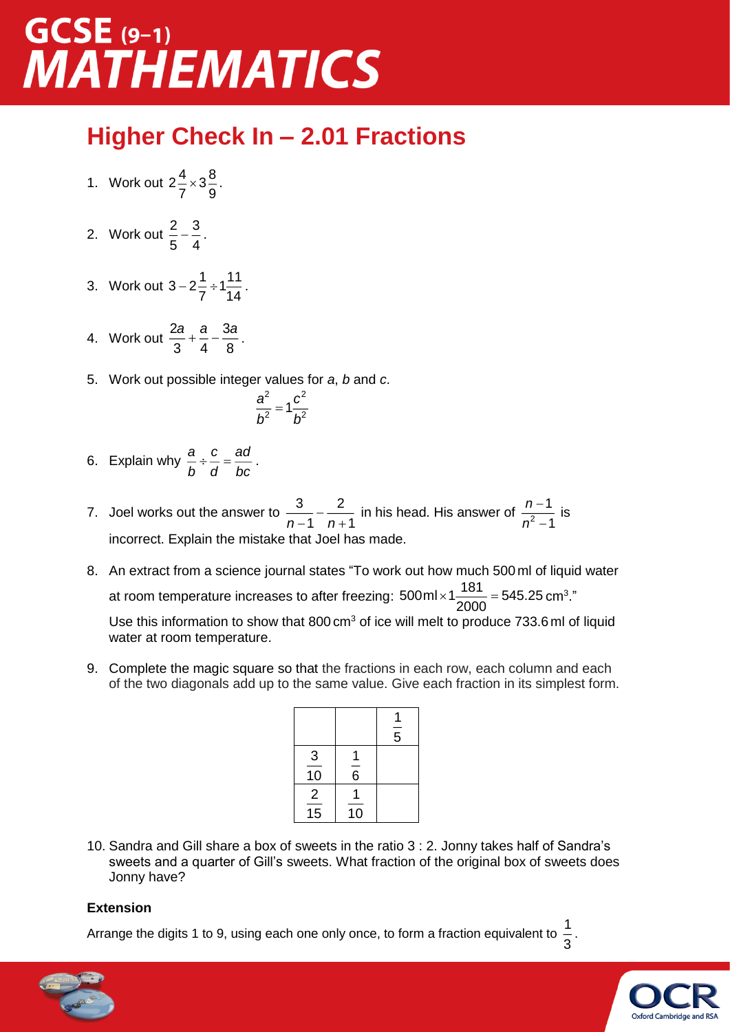### $GCSE$  (9-1) **MATHEMATICS**

#### **Higher Check In – 2.01 Fractions**

- 1. Work out  $2\frac{4}{5} \times 3\frac{8}{5}$  $\frac{1}{7}$   $\times$  3 $\frac{8}{9}$ .
- 2. Work out  $\frac{2}{5} \frac{3}{5}$  $\frac{2}{5} - \frac{3}{4}$ .
- 3. Work out  $3 2 = \pm 1$ .  $-2\frac{1}{7} \div 1\frac{1}{14}$ .
- 4. Work out  $\frac{2a}{2} + \frac{a}{2} \frac{3a}{4}$ 3 4 8 *a*<sub>\_+</sub> *a*<sub>\_</sub>\_3*a*<sub>.</sub>
- 5. Work out possible integer values for *a*, *b* and *c*.

$$
\frac{a^2}{b^2}=1\frac{c^2}{b^2}
$$

- 6. Explain why  $\frac{a}{\cdot} \div \frac{c}{\cdot} = \frac{ad}{\cdot}$  $\frac{a}{b} \div \frac{b}{d} = \frac{a}{bc}$ .
- 7. Joel works out the answer to  $\frac{3}{2}$   $\frac{2}{3}$  $\frac{3}{n-1}$  –  $\frac{2}{n+1}$  in his head. His answer of  $\frac{n-1}{n^2-1}$  $^2$   $^-$ 1 1 *n*  $\frac{n}{n^2-1}$  is incorrect. Explain the mistake that Joel has made.
- 8. An extract from a science journal states "To work out how much 500 ml of liquid water at room temperature increases to after freezing:  $500$ ml $\times$ 1 $\frac{181}{2000}$  = 545.25 cm<sup>3</sup> ."

Use this information to show that  $800 \text{ cm}^3$  of ice will melt to produce 733.6 ml of liquid water at room temperature.

9. Complete the magic square so that the fractions in each row, each column and each of the two diagonals add up to the same value. Give each fraction in its simplest form.

|                                   |                | $\overline{5}$ |
|-----------------------------------|----------------|----------------|
| 3<br>10                           | $\overline{6}$ |                |
| $\overline{2}$<br>$\overline{15}$ | 10             |                |

10. Sandra and Gill share a box of sweets in the ratio 3 : 2. Jonny takes half of Sandra's sweets and a quarter of Gill's sweets. What fraction of the original box of sweets does Jonny have?

#### **Extension**

Arrange the digits 1 to 9, using each one only once, to form a fraction equivalent to  $\frac{1}{6}$  $\frac{1}{3}$ .



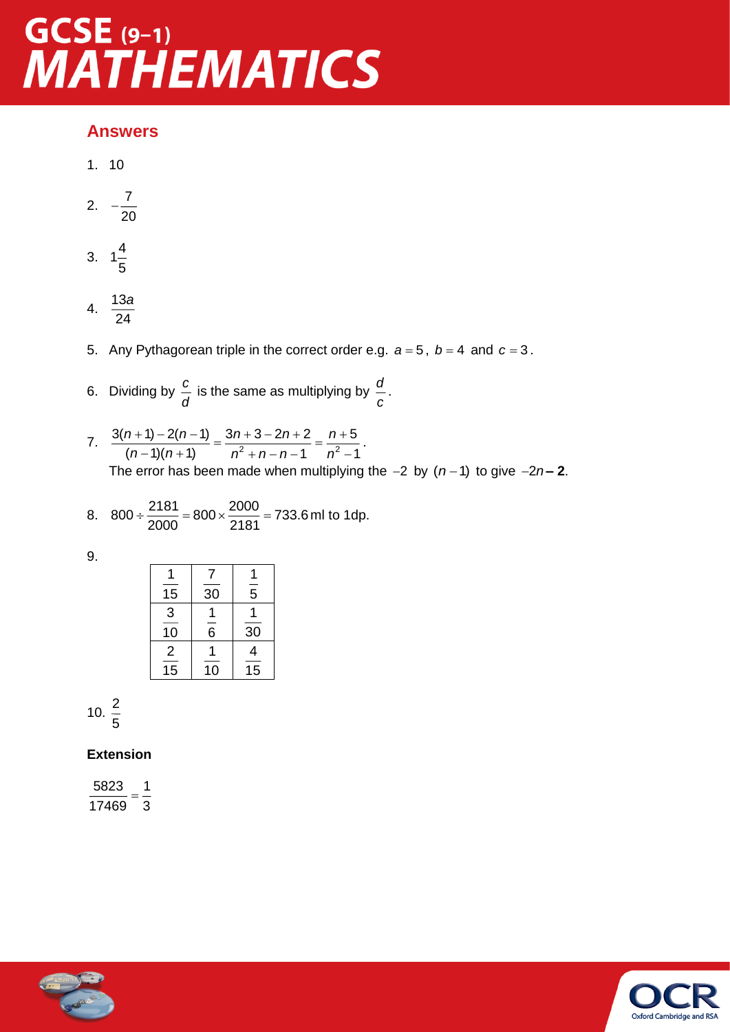# GCSE (9-1)<br>MATHEMATICS

#### **Answers**

1. 10

$$
2. \quad -\frac{7}{20}
$$

- 3.  $1\frac{4}{5}$ 5
- 4.  $\frac{13}{9}$ 24 *a*
- 5. Any Pythagorean triple in the correct order e.g.  $a = 5$ ,  $b = 4$  and  $c = 3$ .
- 6. Dividing by  $\frac{c}{c}$  $\frac{c}{d}$  is the same as multiplying by  $\frac{d}{c}$ *c* .
- 7.  $\frac{3(n+1)-2(n-1)}{(n-1)(n+1)} = \frac{3n+3-2n+2}{n^2+n-n-1} = \frac{n+3}{n^2-n-1}$  $3(n+1) - 2(n-1)$   $3n+3-2n+2$   $n+5$  $(n-1)(n+1)$   $n^2 + n - n - 1$   $n^2 - 1$ *n* + 1) – 2(*n* – 1) 3*n* + 3 – 2*n* + 2 *n*  $\frac{n(n+1)}{n-1(n+1)} = \frac{3n+8}{n^2+n-n-1} = \frac{n+8}{n^2-1}.$ The error has been made when multiplying the  $-2$  by  $(n-1)$  to give  $-2n-2$ .

8. 800 ÷ 
$$
\frac{2181}{2000}
$$
 = 800 ×  $\frac{2000}{2181}$  = 733.6 ml to 1dp.

9.

| 15             | 30             | $\overline{5}$ |
|----------------|----------------|----------------|
| 3              |                |                |
| 10             | $\overline{6}$ | 30             |
| $\overline{2}$ |                | 4              |
| 15             | 10             | 15             |

$$
10.\ \frac{2}{5}
$$

#### **Extension**

 $\frac{5823}{-}$  =  $\frac{1}{-}$ 17469 3



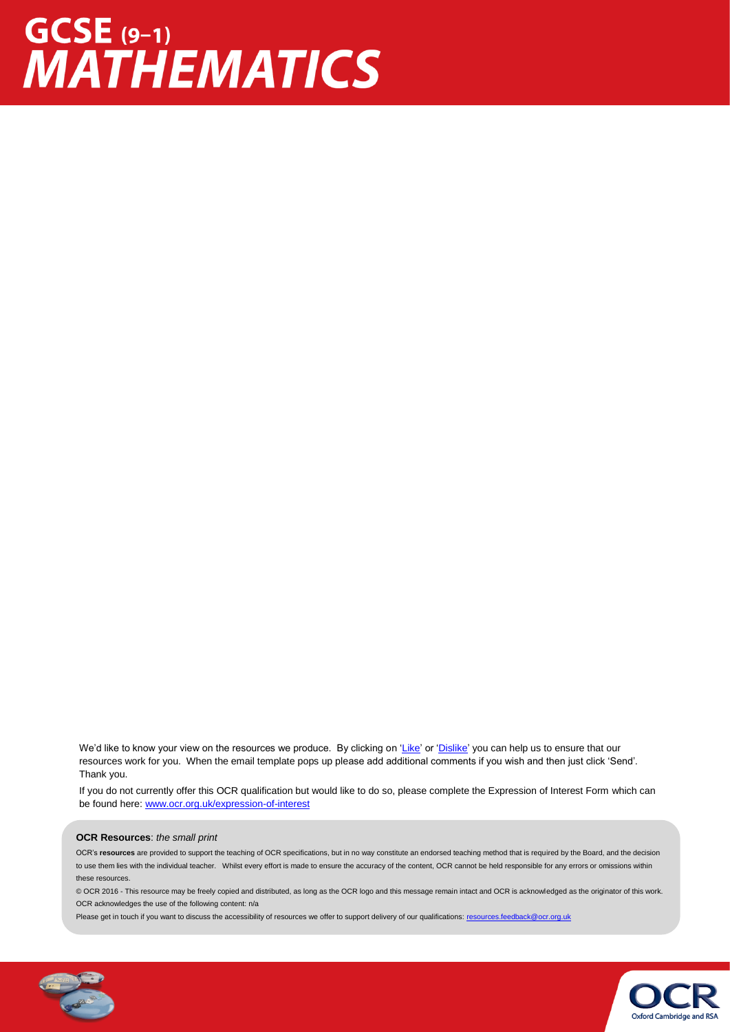## GCSE (9-1)<br>MATHEMATICS

We'd like to know your view on the resources we produce. By clicking on ['Like'](mailto:resources.feedback@ocr.org.uk?subject=I%20liked%20the%20GCSE%20(9-1)%20Mathematics%20Higher%20Check%20In%20-%202.01%20Fractions) or ['Dislike'](mailto:resources.feedback@ocr.org.uk?subject=I%20disliked%20the%20GCSE%20(9-1)%20Mathematics%20Higher%20Check%20In%20-%202.01%20Fractions) you can help us to ensure that our resources work for you. When the email template pops up please add additional comments if you wish and then just click 'Send'. Thank you.

If you do not currently offer this OCR qualification but would like to do so, please complete the Expression of Interest Form which can be found here[: www.ocr.org.uk/expression-of-interest](http://www.ocr.org.uk/expression-of-interest)

#### **OCR Resources**: *the small print*

OCR's **resources** are provided to support the teaching of OCR specifications, but in no way constitute an endorsed teaching method that is required by the Board, and the decision to use them lies with the individual teacher. Whilst every effort is made to ensure the accuracy of the content, OCR cannot be held responsible for any errors or omissions within these resources.

© OCR 2016 - This resource may be freely copied and distributed, as long as the OCR logo and this message remain intact and OCR is acknowledged as the originator of this work. OCR acknowledges the use of the following content: n/a

Please get in touch if you want to discuss the accessibility of resources we offer to support delivery of our qualifications: [resources.feedback@ocr.org.uk](mailto:resources.feedback@ocr.org.uk)